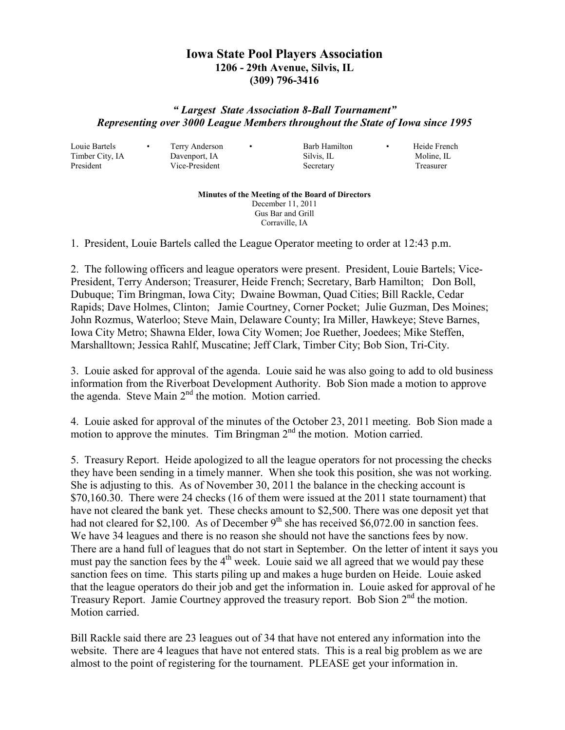## **Iowa State Pool Players Association 1206 - 29th Avenue, Silvis, IL (309) 796-3416**

## *" Largest State Association 8-Ball Tournament" Representing over 3000 League Members throughout the State of Iowa since 1995*

Louie Bartels • Terry Anderson • Barb Hamilton • Heide French

Timber City, IA Davenport, IA Silvis, IL Moline, IL President Vice-President Secretary Treasurer

## **Minutes of the Meeting of the Board of Directors**  December 11, 2011 Gus Bar and Grill

Corraville, IA

1. President, Louie Bartels called the League Operator meeting to order at 12:43 p.m.

2. The following officers and league operators were present. President, Louie Bartels; Vice-President, Terry Anderson; Treasurer, Heide French; Secretary, Barb Hamilton; Don Boll, Dubuque; Tim Bringman, Iowa City; Dwaine Bowman, Quad Cities; Bill Rackle, Cedar Rapids; Dave Holmes, Clinton; Jamie Courtney, Corner Pocket; Julie Guzman, Des Moines; John Rozmus, Waterloo; Steve Main, Delaware County; Ira Miller, Hawkeye; Steve Barnes, Iowa City Metro; Shawna Elder, Iowa City Women; Joe Ruether, Joedees; Mike Steffen, Marshalltown; Jessica Rahlf, Muscatine; Jeff Clark, Timber City; Bob Sion, Tri-City.

3. Louie asked for approval of the agenda. Louie said he was also going to add to old business information from the Riverboat Development Authority. Bob Sion made a motion to approve the agenda. Steve Main  $2<sup>nd</sup>$  the motion. Motion carried.

4. Louie asked for approval of the minutes of the October 23, 2011 meeting. Bob Sion made a motion to approve the minutes. Tim Bringman  $2<sup>nd</sup>$  the motion. Motion carried.

5. Treasury Report. Heide apologized to all the league operators for not processing the checks they have been sending in a timely manner. When she took this position, she was not working. She is adjusting to this. As of November 30, 2011 the balance in the checking account is \$70,160.30. There were 24 checks (16 of them were issued at the 2011 state tournament) that have not cleared the bank yet. These checks amount to \$2,500. There was one deposit yet that had not cleared for \$2,100. As of December  $9<sup>th</sup>$  she has received \$6,072.00 in sanction fees. We have 34 leagues and there is no reason she should not have the sanctions fees by now. There are a hand full of leagues that do not start in September. On the letter of intent it says you must pay the sanction fees by the  $4<sup>th</sup>$  week. Louie said we all agreed that we would pay these sanction fees on time. This starts piling up and makes a huge burden on Heide. Louie asked that the league operators do their job and get the information in. Louie asked for approval of he Treasury Report. Jamie Courtney approved the treasury report. Bob Sion 2nd the motion. Motion carried.

Bill Rackle said there are 23 leagues out of 34 that have not entered any information into the website. There are 4 leagues that have not entered stats. This is a real big problem as we are almost to the point of registering for the tournament. PLEASE get your information in.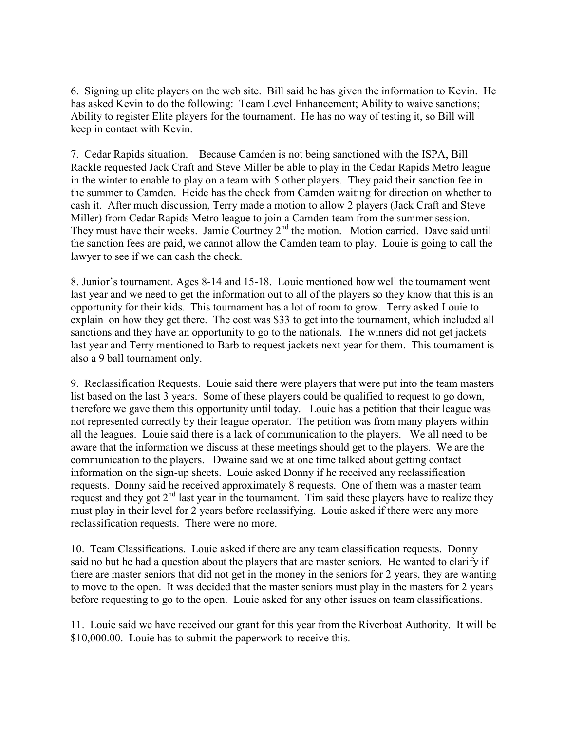6. Signing up elite players on the web site. Bill said he has given the information to Kevin. He has asked Kevin to do the following: Team Level Enhancement; Ability to waive sanctions; Ability to register Elite players for the tournament. He has no way of testing it, so Bill will keep in contact with Kevin.

7. Cedar Rapids situation. Because Camden is not being sanctioned with the ISPA, Bill Rackle requested Jack Craft and Steve Miller be able to play in the Cedar Rapids Metro league in the winter to enable to play on a team with 5 other players. They paid their sanction fee in the summer to Camden. Heide has the check from Camden waiting for direction on whether to cash it. After much discussion, Terry made a motion to allow 2 players (Jack Craft and Steve Miller) from Cedar Rapids Metro league to join a Camden team from the summer session. They must have their weeks. Jamie Courtney 2<sup>nd</sup> the motion. Motion carried. Dave said until the sanction fees are paid, we cannot allow the Camden team to play. Louie is going to call the lawyer to see if we can cash the check.

8. Junior's tournament. Ages 8-14 and 15-18. Louie mentioned how well the tournament went last year and we need to get the information out to all of the players so they know that this is an opportunity for their kids. This tournament has a lot of room to grow. Terry asked Louie to explain on how they get there. The cost was \$33 to get into the tournament, which included all sanctions and they have an opportunity to go to the nationals. The winners did not get jackets last year and Terry mentioned to Barb to request jackets next year for them. This tournament is also a 9 ball tournament only.

9. Reclassification Requests. Louie said there were players that were put into the team masters list based on the last 3 years. Some of these players could be qualified to request to go down, therefore we gave them this opportunity until today. Louie has a petition that their league was not represented correctly by their league operator. The petition was from many players within all the leagues. Louie said there is a lack of communication to the players. We all need to be aware that the information we discuss at these meetings should get to the players. We are the communication to the players. Dwaine said we at one time talked about getting contact information on the sign-up sheets. Louie asked Donny if he received any reclassification requests. Donny said he received approximately 8 requests. One of them was a master team request and they got  $2<sup>nd</sup>$  last year in the tournament. Tim said these players have to realize they must play in their level for 2 years before reclassifying. Louie asked if there were any more reclassification requests. There were no more.

10. Team Classifications. Louie asked if there are any team classification requests. Donny said no but he had a question about the players that are master seniors. He wanted to clarify if there are master seniors that did not get in the money in the seniors for 2 years, they are wanting to move to the open. It was decided that the master seniors must play in the masters for 2 years before requesting to go to the open. Louie asked for any other issues on team classifications.

11. Louie said we have received our grant for this year from the Riverboat Authority. It will be \$10,000.00. Louie has to submit the paperwork to receive this.